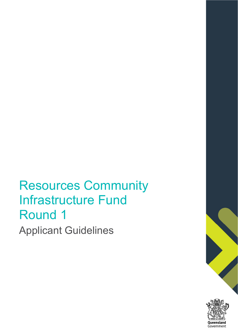# Resources Community Infrastructure Fund Round 1 Applicant Guidelines

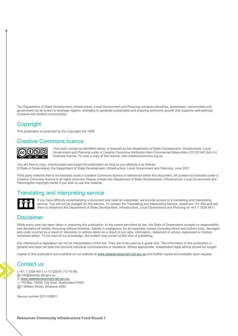The Department of State Development, Infrastructure, Local Government and Planning connects industries, businesses, communities and government (at all levels) to leverage regions' strengths to generate sustainable and enduring economic growth that supports well-planned, inclusive and resilient communities.

#### **Copyright**

This publication is protected by the *Copyright Act 1968*.

#### Creative Commons licence

### കര

This work, except as identified below, is licensed by the Department of State Development, Infrastructure, Local Government and Planning under a Creative Commons Attribution-Non-Commercial-Share Alike (CC BY-NC-SA) 4.0 Australia licence. To view a copy of this licence, visit creativecommons.org.au

You are free to copy, communicate and adapt this publication as long as you attribute it as follows: © State of Queensland, the Department of State Development, Infrastructure, Local Government and Planning, June 2021.

Third party material that is not licensed under a Creative Commons licence is referenced within this document. All content not licensed under a Creative Commons licence is all rights reserved. Please contact the Department of State Development, Infrastructure, Local Government and Planning/the copyright owner if you wish to use this material.

#### Translating and interpreting service



If you have difficulty understanding a document and need an interpreter, we provide access to a translating and interpreting service. You will not be charged for this service. To contact the Translating and Interpreting Service, telephone 131 450 and ask them to telephone the Department of State Development, Infrastructure, Local Government and Planning on +61 7 3328 4811.

#### **Disclaimer**

While every care has been taken in preparing this publication, to the extent permitted by law, the State of Queensland accepts no responsibility and disclaims all liability (including without limitation, liability in negligence) for all expenses, losses (including direct and indirect loss), damages and costs incurred as a result of decisions or actions taken as a result of any data, information, statement or advice, expressed or implied, contained within. To the best of our knowledge, the content was correct at the time of publishing.

Any references to legislation are not an interpretation of the law. They are to be used as a guide only. The information in this publication is general and does not take into account individual circumstances or situations. Where appropriate, independent legal advice should be sought.

Copies of this publication are available on our website at www.statedevelopment.qld.gov.au and further copies are available upon request.

#### Contact us

 +61 7 3328 4811 or 13 QGOV (13 74 68) @ info@dsdmip.qld.gov.au ■ www.statedevelopment.qld.gov.au PO Box 15009, City East, Queensland 4002 1 William Street, Brisbane 4000

Source number D21/105821

**Resources Community Infrastructure Fund Round 1**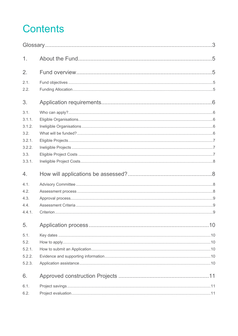# **Contents**

| 1.     |  |  |  |  |
|--------|--|--|--|--|
| 2.     |  |  |  |  |
| 2.1.   |  |  |  |  |
| 2.2.   |  |  |  |  |
| 3.     |  |  |  |  |
| 3.1.   |  |  |  |  |
| 3.1.1. |  |  |  |  |
| 3.1.2. |  |  |  |  |
| 3.2.   |  |  |  |  |
| 3.2.1. |  |  |  |  |
| 3.2.2. |  |  |  |  |
| 3.3.   |  |  |  |  |
| 3.3.1. |  |  |  |  |
| 4.     |  |  |  |  |
| 4.1.   |  |  |  |  |
| 4.2.   |  |  |  |  |
| 4.3.   |  |  |  |  |
| 4.4.   |  |  |  |  |
| 4.4.1. |  |  |  |  |
| 5.     |  |  |  |  |
| 5.1.   |  |  |  |  |
| 5.2.   |  |  |  |  |
| 5.2.1. |  |  |  |  |
| 5.2.2. |  |  |  |  |
| 5.2.3. |  |  |  |  |
| 6.     |  |  |  |  |
| 6.1.   |  |  |  |  |
| 6.2.   |  |  |  |  |
|        |  |  |  |  |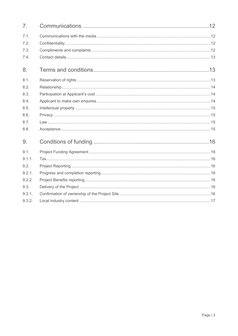| 7 <sub>1</sub> |  |
|----------------|--|
| 7.1.           |  |
| 7.2.           |  |
| 7.3.           |  |
| 7.4.           |  |
| 8.             |  |
| 8.1.           |  |
| 8.2.           |  |
| 8.3.           |  |
| 8.4.           |  |
| 8.5.           |  |
| 8.6.           |  |
| 8.7.           |  |
| 8.8.           |  |
| 9.             |  |
| 9.1.           |  |
| 9.1.1.         |  |
| 9.2.           |  |
| 9.2.1.         |  |
| 9.2.2.         |  |
| 9.3.           |  |
| 9.3.1.         |  |
| 9.3.2.         |  |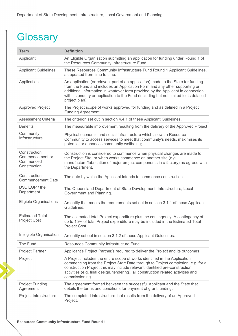# **Glossary**

| <b>Term</b>                                                  | <b>Definition</b>                                                                                                                                                                                                                                                                                                                                              |
|--------------------------------------------------------------|----------------------------------------------------------------------------------------------------------------------------------------------------------------------------------------------------------------------------------------------------------------------------------------------------------------------------------------------------------------|
| Applicant                                                    | An Eligible Organisation submitting an application for funding under Round 1 of<br>the Resources Community Infrastructure Fund.                                                                                                                                                                                                                                |
| <b>Applicant Guidelines</b>                                  | These Resources Community Infrastructure Fund Round 1 Applicant Guidelines,<br>as updated from time to time.                                                                                                                                                                                                                                                   |
| Application                                                  | An application (or relevant part of an application) made to the State for funding<br>from the Fund and includes an Application Form and any other supporting or<br>additional information in whatever form provided by the Applicant in connection<br>with its enquiry or application to the Fund (including but not limited to its detailed<br>project plan). |
| <b>Approved Project</b>                                      | The Project scope of works approved for funding and as defined in a Project<br>Funding Agreement.                                                                                                                                                                                                                                                              |
| Assessment Criteria                                          | The criterion set out in section 4.4.1 of these Applicant Guidelines.                                                                                                                                                                                                                                                                                          |
| <b>Benefits</b>                                              | The measurable improvement resulting from the delivery of the Approved Project                                                                                                                                                                                                                                                                                 |
| Community<br>Infrastructure                                  | Physical economic and social infrastructure which allows a Resource<br>Community to access services to meet that community's needs, maximises its<br>potential or enhances community wellbeing;                                                                                                                                                                |
| Construction<br>Commencement or<br>Commenced<br>Construction | Construction is considered to commence when physical changes are made to<br>the Project Site, or when works commence on another site (e.g.<br>manufacture/fabrication of major project components in a factory) as agreed with<br>the Department.                                                                                                              |
| Construction<br><b>Commencement Date</b>                     | The date by which the Applicant intends to commence construction.                                                                                                                                                                                                                                                                                              |
| DSDILGP / the<br>Department                                  | The Queensland Department of State Development, Infrastructure, Local<br>Government and Planning.                                                                                                                                                                                                                                                              |
| <b>Eligible Organisations</b>                                | An entity that meets the requirements set out in section 3.1.1 of these Applicant<br>Guidelines.                                                                                                                                                                                                                                                               |
| <b>Estimated Total</b><br><b>Project Cost</b>                | The estimated total Project expenditure plus the contingency. A contingency of<br>up to 15% of total Project expenditure may be included in the Estimated Total<br>Project Cost.                                                                                                                                                                               |
| Ineligible Organisation                                      | An entity set out in section 3.1.2 of these Applicant Guidelines.                                                                                                                                                                                                                                                                                              |
| The Fund                                                     | Resources Community Infrastructure Fund                                                                                                                                                                                                                                                                                                                        |
| <b>Project Partner</b>                                       | Applicant's Project Partner/s required to deliver the Project and its outcomes                                                                                                                                                                                                                                                                                 |
| Project                                                      | A Project includes the entire scope of works identified in the Application<br>commencing from the Project Start Date through to Project completion, e.g. for a<br>construction Project this may include relevant identified pre-construction<br>activities (e.g. final design, tendering), all construction related activities and<br>commissioning.           |
| <b>Project Funding</b><br>Agreement                          | The agreement formed between the successful Applicant and the State that<br>details the terms and conditions for payment of grant funding.                                                                                                                                                                                                                     |
| Project Infrastructure                                       | The completed infrastructure that results from the delivery of an Approved<br>Project.                                                                                                                                                                                                                                                                         |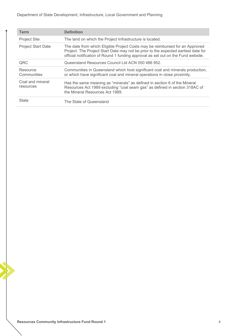Department of State Development, Infrastructure, Local Government and Planning

| <b>Term</b>                   | <b>Definition</b>                                                                                                                                                                                                                                       |
|-------------------------------|---------------------------------------------------------------------------------------------------------------------------------------------------------------------------------------------------------------------------------------------------------|
| <b>Project Site</b>           | The land on which the Project Infrastructure is located.                                                                                                                                                                                                |
| <b>Project Start Date</b>     | The date from which Eligible Project Costs may be reimbursed for an Approved<br>Project. The Project Start Date may not be prior to the expected earliest date for<br>official notification of Round 1 funding approval as set out on the Fund website. |
| QRC                           | Queensland Resources Council Ltd ACN 050 486 952.                                                                                                                                                                                                       |
| Resource<br>Communities       | Communities in Queensland which host significant coal and minerals production,<br>or which have significant coal and mineral operations in close proximity.                                                                                             |
| Coal and mineral<br>resources | Has the same meaning as "minerals" as defined in section 6 of the Mineral<br>Resources Act 1989 excluding "coal seam gas" as defined in section 318AC of<br>the Mineral Resources Act 1989.                                                             |
| <b>State</b>                  | The State of Queensland                                                                                                                                                                                                                                 |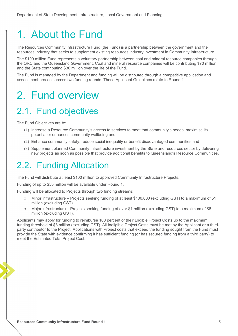## 1. About the Fund

The Resources Community Infrastructure Fund (the Fund) is a partnership between the government and the resources industry that seeks to supplement existing resources industry investment in Community Infrastructure.

The \$100 million Fund represents a voluntary partnership between coal and mineral resource companies through the QRC and the Queensland Government. Coal and mineral resource companies will be contributing \$70 million and the State contributing \$30 million over the life of the Fund.

The Fund is managed by the Department and funding will be distributed through a competitive application and assessment process across two funding rounds. These Applicant Guidelines relate to Round 1.

## 2. Fund overview

## 2.1. Fund objectives

The Fund Objectives are to:

- (1) Increase a Resource Community's access to services to meet that community's needs, maximise its potential or enhances community wellbeing and
- (2) Enhance community safety, reduce social inequality or benefit disadvantaged communities and
- (3) Supplement planned Community Infrastructure investment by the State and resources sector by delivering new projects as soon as possible that provide additional benefits to Queensland's Resource Communities.

### 2.2. Funding Allocation

The Fund will distribute at least \$100 million to approved Community Infrastructure Projects.

Funding of up to \$50 million will be available under Round 1.

Funding will be allocated to Projects through two funding streams:

- » Minor infrastructure Projects seeking funding of at least \$100,000 (excluding GST) to a maximum of \$1 million (excluding GST)
- » Major infrastructure Projects seeking funding of over \$1 million (excluding GST) to a maximum of \$8 million (excluding GST).

Applicants may apply for funding to reimburse 100 percent of their Eligible Project Costs up to the maximum funding threshold of \$8 million (excluding GST). All Ineligible Project Costs must be met by the Applicant or a thirdparty contributor to the Project. Applications with Project costs that exceed the funding sought from the Fund must provide the State with evidence confirming it has sufficient funding (or has secured funding from a third party) to meet the Estimated Total Project Cost.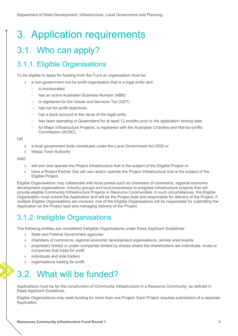## 3. Application requirements

## 3.1. Who can apply?

#### 3.1.1. Eligible Organisations

To be eligible to apply for funding from the Fund an organisation must be:

- » a non-government not-for-profit organisation that is a legal entity and:
	- is incorporated
	- has an active Australian Business Number (ABN)
	- $-$  is registered for the Goods and Services Tax (GST)
	- has not-for-profit objectives
	- has a bank account in the name of the legal entity
	- has been operating in Queensland for at least 12 months prior to the application closing date
	- for Major Infrastructure Projects, is registered with the Australian Charities and Not-for-profits Commission (ACNC)

OR

- » a local government body constituted under the Local Government Act 2009 or
- » Weipa Town Authority

AND

- » will own and operate the Project Infrastructure that is the subject of the Eligible Project or
- » have a Project Partner that will own and/or operate the Project Infrastructure that is the subject of the Eligible Project.

Eligible Organisations may collaborate with local parties such as chambers of commerce, regional economic development organisations, industry groups and local businesses to progress infrastructure projects that will provide eligible Community Infrastructure Projects in Resource Communities. In such circumstances, the Eligible Organisation must submit the Application and will be the Project lead and responsible for delivery of the Project. If multiple Eligible Organisations are involved, one of the Eligible Organisations will be responsible for submitting the Application as the Project lead and managing delivery of the Project.

### 3.1.2. Ineligible Organisations

The following entities are considered Ineligible Organisations under these Applicant Guidelines:

- » State and Federal Government agencies
- » chambers of commerce, regional economic development organisations, remote area boards
- » proprietary limited or public companies limited by shares where the shareholders are individuals, trusts or companies that trade for profit
- » individuals and sole traders
- » organisations trading for profit.

## 3.2. What will be funded?

Applications must be for the construction of Community Infrastructure in a Resource Community, as defined in these Applicant Guidelines.

Eligible Organisations may seek funding for more than one Project. Each Project requires submission of a separate Application.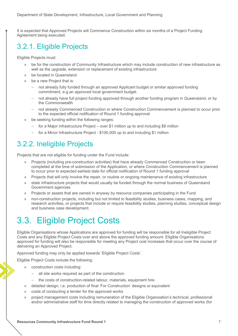It is expected that Approved Projects will Commence Construction within six months of a Project Funding Agreement being executed.

### 3.2.1. Eligible Projects

Eligible Projects must:

- » be for the construction of Community Infrastructure which may include construction of new infrastructure as well as the upgrade, extension or replacement of existing infrastructure
- be located in Queensland
- » be a new Project that is:
	- not already fully funded through an approved Applicant budget or similar approved funding commitment, e.g.an approved local government budget.
	- not already have full project funding approved through another funding program in Queensland, or by the Commonwealth
	- not already Commenced Construction or where Construction Commencement is planned to occur prior to the expected official notification of Round 1 funding approval
- » be seeking funding within the following ranges:
	- $-$  for a Major infrastructure Project over \$1 million up to and including \$8 million
	- for a Minor Infrastructure Project \$100,000 up to and including \$1 million

#### 3.2.2. Ineligible Projects

Projects that are not eligible for funding under the Fund include:

- » Projects (including pre-construction activities) that have already Commenced Construction or been completed at the time of submission of the Application, or where Construction Commencement is planned to occur prior to expected earliest date for official notification of Round 1 funding approval
- » Projects that will only involve the repair, or routine or ongoing maintenance of existing infrastructure
- » state infrastructure projects that would usually be funded through the normal business of Queensland Government agencies
- » Projects or assets that are owned in anyway by resource companies participating in the Fund
- » non-construction projects, including but not limited to feasibility studies, business cases, mapping, and research activities, or projects that include or require feasibility studies, planning studies, conceptual design and business case development.

### 3.3. Eligible Project Costs

Eligible Organisations whose Applications are approved for funding will be responsible for all Ineligible Project Costs and any Eligible Project Costs over and above the approved funding amount. Eligible Organisations approved for funding will also be responsible for meeting any Project cost increases that occur over the course of delivering an Approved Project.

Approved funding may only be applied towards 'Eligible Project Costs'.

Eligible Project Costs include the following:

- » construction costs including:
	- all site works required as part of the construction
	- the costs of construction-related labour, materials, equipment hire
- » detailed design, i.e. production of final 'For Construction' designs or equivalent
- » costs of conducting a tender for the approved works
- » project management costs including remuneration of the Eligible Organisation's technical, professional and/or administrative staff for time directly related to managing the construction of approved works (for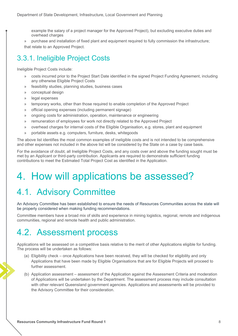example the salary of a project manager for the Approved Project), but excluding executive duties and overhead charges

» purchase and installation of fixed plant and equipment required to fully commission the infrastructure; that relate to an Approved Project.

### 3.3.1. Ineligible Project Costs

Ineligible Project Costs include:

- » costs incurred prior to the Project Start Date identified in the signed Project Funding Agreement, including any otherwise Eligible Project Costs
- » feasibility studies, planning studies, business cases
- » conceptual design
- » legal expenses
- » temporary works, other than those required to enable completion of the Approved Project
- » official opening expenses (including permanent signage)
- » ongoing costs for administration, operation, maintenance or engineering
- » remuneration of employees for work not directly related to the Approved Project
- » overhead charges for internal costs of the Eligible Organisation, e.g. stores, plant and equipment
- » portable assets e.g. computers, furniture, desks, whitegoods

The above list identifies the most common examples of ineligible costs and is not intended to be comprehensive and other expenses not included in the above list will be considered by the State on a case by case basis.

For the avoidance of doubt, all Ineligible Project Costs, and any costs over and above the funding sought must be met by an Applicant or third-party contribution. Applicants are required to demonstrate sufficient funding contributions to meet the Estimated Total Project Cost as identified in the Application.

## 4. How will applications be assessed?

## 4.1. Advisory Committee

An Advisory Committee has been established to ensure the needs of Resources Communities across the state will be properly considered when making funding recommendations.

Committee members have a broad mix of skills and experience in mining logistics, regional, remote and indigenous communities, regional and remote health and public administration.

### 4.2. Assessment process

Applications will be assessed on a competitive basis relative to the merit of other Applications eligible for funding. The process will be undertaken as follows:

- (a) Eligibility check once Applications have been received, they will be checked for eligibility and only Applications that have been made by Eligible Organisations that are for Eligible Projects will proceed to further assessment.
- (b) Application assessment assessment of the Application against the Assessment Criteria and moderation of Applications will be undertaken by the Department. The assessment process may include consultation with other relevant Queensland government agencies. Applications and assessments will be provided to the Advisory Committee for their consideration.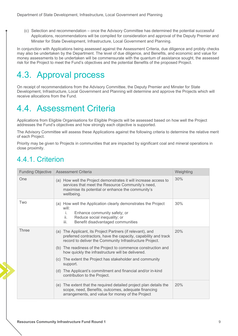(c) Selection and recommendation – once the Advisory Committee has determined the potential successful Applications, recommendations will be compiled for consideration and approval of the Deputy Premier and Minster for State Development, Infrastructure, Local Government and Planning.

In conjunction with Applications being assessed against the Assessment Criteria, due diligence and probity checks may also be undertaken by the Department. The level of due diligence, and Benefits, and economic and value for money assessments to be undertaken will be commensurate with the quantum of assistance sought, the assessed risk for the Project to meet the Fund's objectives and the potential Benefits of the proposed Project.

## 4.3. Approval process

On receipt of recommendations from the Advisory Committee, the Deputy Premier and Minster for State Development, Infrastructure, Local Government and Planning will determine and approve the Projects which will receive allocations from the Fund.

### 4.4. Assessment Criteria

Applications from Eligible Organisations for Eligible Projects will be assessed based on how well the Project addresses the Fund's objectives and how strongly each objective is supported.

The Advisory Committee will assess these Applications against the following criteria to determine the relative merit of each Project.

Priority may be given to Projects in communities that are impacted by significant coal and mineral operations in close proximity.

#### 4.4.1. Criterion

| <b>Funding Objective</b> | <b>Assessment Criteria</b>                                                                                                                                                                                                                                                                                                                                                            | Weighting |
|--------------------------|---------------------------------------------------------------------------------------------------------------------------------------------------------------------------------------------------------------------------------------------------------------------------------------------------------------------------------------------------------------------------------------|-----------|
| One                      | (a) How well the Project demonstrates it will increase access to<br>services that meet the Resource Community's need,<br>maximise its potential or enhance the community's<br>wellbeing.                                                                                                                                                                                              | 30%       |
| Two                      | (a) How well the Application clearly demonstrates the Project<br>will:<br>Enhance community safety; or<br>İ.<br>Reduce social inequality; or<br>ii.<br>iii.<br>Benefit disadvantaged communities                                                                                                                                                                                      | 30%       |
| <b>Three</b>             | (a) The Applicant, its Project Partners (if relevant), and<br>preferred contractors, have the capacity, capability and track<br>record to deliver the Community Infrastructure Project.<br>(b) The readiness of the Project to commence construction and<br>how quickly the infrastructure will be delivered.<br>(c) The extent the Project has stakeholder and community<br>support. | 20%       |
|                          | (d) The Applicant's commitment and financial and/or in-kind<br>contribution to the Project.                                                                                                                                                                                                                                                                                           |           |
|                          | (e) The extent that the required detailed project plan details the<br>scope, need, Benefits, outcomes, adequate financing<br>arrangements, and value for money of the Project                                                                                                                                                                                                         | 20%       |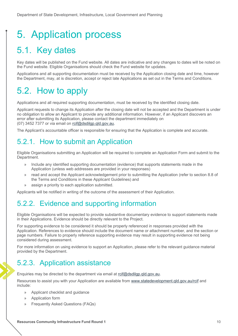# 5. Application process

## 5.1. Key dates

Key dates will be published on the Fund website. All dates are indicative and any changes to dates will be noted on the Fund website. Eligible Organisations should check the Fund website for updates.

Applications and all supporting documentation must be received by the Application closing date and time, however the Department, may, at is discretion, accept or reject late Applications as set out in the Terms and Conditions.

### 5.2. How to apply

Applications and all required supporting documentation, must be received by the identified closing date.

Applicant requests to change its Application after the closing date will not be accepted and the Department is under no obligation to allow an Applicant to provide any additional information. However, if an Applicant discovers an error after submitting its Application, please contact the department immediately on (07) 3452 7377 or via email on rcif@dsdilgp.qld.gov.au.

The Applicant's accountable officer is responsible for ensuring that the Application is complete and accurate.

#### 5.2.1. How to submit an Application

Eligible Organisations submitting an Application will be required to complete an Application Form and submit to the Department.

- » Include any identified supporting documentation (evidence) that supports statements made in the Application (unless web addresses are provided in your responses)
- » read and accept the Applicant acknowledgement prior to submitting the Application (refer to section 8.8 of the Terms and Conditions in these Applicant Guidelines) and
- assign a priority to each application submitted.

Applicants will be notified in writing of the outcome of the assessment of their Application.

#### 5.2.2. Evidence and supporting information

Eligible Organisations will be expected to provide substantive documentary evidence to support statements made in their Applications. Evidence should be directly relevant to the Project.

For supporting evidence to be considered it should be properly referenced in responses provided with the Application. References to evidence should include the document name or attachment number, and the section or page numbers. Failure to properly reference supporting evidence may result in supporting evidence not being considered during assessment.

For more information on using evidence to support an Application, please refer to the relevant guidance material provided by the Department.

#### 5.2.3. Application assistance

Enquiries may be directed to the department via email at rcif@dsdilgp.qld.gov.au.

Resources to assist you with your Application are available from www.statedevelopment.qld.gov.au/rcif and include:

- » Applicant checklist and guidance
- » Application form
- » Frequently Asked Questions (FAQs)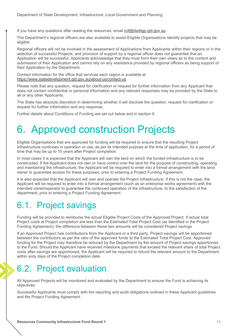If you have any questions after reading the resources, email roif@dsdilgp.qld.gov.au.

The Department's regional officers are also available to assist Eligible Organisations identify projects that may be eligible.

Regional officers will not be involved in the assessment of Applications from Applicants within their regions or in the selection of successful Projects, and provision of support by a regional officer does not guarantee that an Application will be successful. Applicants acknowledge that they must form their own views as to the content and submission of their Application and cannot rely on any assistance provided by regional officers as being support of their Application by the Department.

Contact information for the office that services each region is available at https://www.statedevelopment.qld.gov.au/about-us/contact-us.

Please note that any question, request for clarification or request for further information from any Applicant that does not contain confidential or personal information and any relevant responses may be provided by the State to all or any other Applicants.

The State has absolute discretion in determining whether it will disclose the question, request for clarification or request for further information and any response.

Further details about Conditions of Funding are set out below and in section 9.

## 6. Approved construction Projects

Eligible Organisations that are approved for funding will be required to ensure that the resulting Project Infrastructure continues in operation or use, as per its intended purpose at the time of application, for a period of time that may be up to 10 years after Project completion.

In most cases it is expected that the Applicant will own the land on which the funded infrastructure is to be constructed. If the Applicant does not own or have control over the land for the purpose of constructing, operating and maintaining the infrastructure, the Applicant will be required to enter into a formal arrangement with the land owner to guarantee access for these purposes, prior to entering a Project Funding Agreement.

It is also expected that the Applicant will own and operate the Project Infrastructure. If this is not the case, the Applicant will be required to enter into a formal arrangement (such as an enterprise works agreement) with the intended owner/operator to guarantee the continued operation of the infrastructure, to the satisfaction of the department, prior to entering a Project Funding Agreement.

### 6.1. Project savings

Funding will be provided to reimburse the actual Eligible Project Costs of the Approved Project. If actual total Project costs at Project completion are less than the Estimated Total Project Cost (as identified in the Project Funding Agreement), the difference between these two amounts will be considered Project savings.

If an Approved Project has contributions from the Applicant or a third party, Project savings will be apportioned between the contributors as per the ratio of the approved funds to the Estimated Total Project Cost. Approved funding for the Project may therefore be reduced by the Department by the amount of Project savings apportioned to the Fund. Should the Applicant have received milestone payments that exceed the relevant share of total Project costs after savings are apportioned, the Applicant will be required to refund the relevant amount to the Department within sixty days of the Project completion date.

## 6.2. Project evaluation

All Approved Projects will be monitored and evaluated by the Department to ensure the Fund is achieving its objectives.

Successful Applicants must comply with the reporting and audit obligations outlined in these Applicant guidelines and the Project Funding Agreement.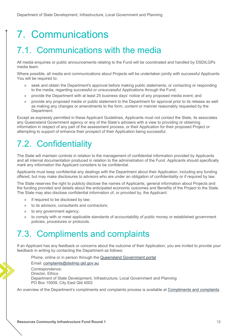# 7. Communications

### 7.1. Communications with the media

All media enquiries or public announcements relating to the Fund will be coordinated and handled by DSDILGPs media team.

Where possible, all media and communications about Projects will be undertaken jointly with successful Applicants. You will be required to:

- » seek and obtain the Department's approval before making public statements, or contacting or responding to the media, regarding successful or unsuccessful Applications through the Fund;
- » provide the Department with at least 25 business days' notice of any proposed media event; and
- » provide any proposed media or public statement to the Department for approval prior to its release as well as making any changes or amendments to the form, content or manner reasonably requested by the Department.

Except as expressly permitted in these Applicant Guidelines, Applicants must not contact the State, its associates any Queensland Government agency or any of the State's advisers with a view to providing or obtaining information in respect of any part of the assessment process, or their Application for their proposed Project or attempting to support of enhance their prospect of their Application being successful.

## 7.2. Confidentiality

The State will maintain controls in relation to the management of confidential information provided by Applicants and all internal documentation produced in relation to the administration of the Fund. Applicants should specifically mark any information the Applicant considers to be confidential.

Applicants must keep confidential any dealings with the Department about their Application, including any funding offered, but may make disclosures to advisors who are under an obligation of confidentiality or if required by law.

The State reserves the right to publicly disclose the names of Applicants, general information about Projects and the funding provided and details about the anticipated economic outcomes and Benefits of the Project to the State. The State may also disclose confidential information of, or provided by, the Applicant:

- » if required to be disclosed by law;
- » to its advisors, consultants and contractors;
- » to any government agency;
- » to comply with or meet applicable standards of accountability of public money or established government policies, procedures or protocols.

### 7.3. Compliments and complaints

If an Applicant has any feedback or concerns about the outcome of their Application, you are invited to provide your feedback in writing by contacting the Department as follows:

Phone, online or in person through the Queensland Government portal Email: complaints@dsdmip.qld.gov.au Correspondence: Director, Ethics Department of State Development, Infrastructure, Local Government and Planning PO Box 15009, City East Qld 4002

An overview of the Department's compliments and complaints process is available at Compliments and complaints.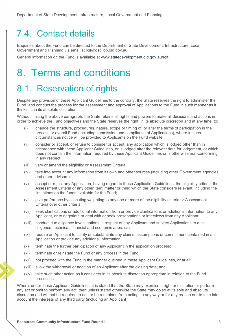### 7.4. Contact details

Enquiries about the Fund can be directed to the Department of State Development, Infrastructure, Local Government and Planning via email at rcif@dsdilgp.qld.gov.au.

General information on the Fund is available at www.statedevelopment.qld.gov.au/rcif.

## 8. Terms and conditions

### 8.1. Reservation of rights

Despite any provision of these Applicant Guidelines to the contrary, the State reserves the right to administer the Fund and conduct the process for the assessment and approval of Applications to the Fund in such manner as it thinks fit, in its absolute discretion.

Without limiting the above paragraph, the State retains all rights and powers to make all decisions and actions in order to achieve the Fund objectives and the State reserves the right, in its absolute discretion and at any time, to:

- (i) change the structure, procedures, nature, scope or timing of, or alter the terms of participation in the process or overall Fund (including submission and compliance of Applications), where in such circumstances notice will be provided to Applicants on the Fund website;
- (ii) consider or accept, or refuse to consider or accept, any application which is lodged other than in accordance with these Applicant Guidelines, or is lodged after the relevant date for lodgement, or which does not contain the information required by these Applicant Guidelines or is otherwise non-conforming in any respect;
- (iii) vary or amend the eligibility or Assessment Criteria;
- (iv) take into account any information from its own and other sources (including other Government agencies and other advisors);
- (v) accept or reject any Application, having regard to these Application Guidelines, the eligibility criteria, the Assessment Criteria or any other item, matter or thing which the State considers relevant, including the limitations on the funds available for the Fund;
- (vi) give preference by allocating weighting to any one or more of the eligibility criteria or Assessment Criteria over other criteria;
- (vii) seek clarifications or additional information from or provide clarifications or additional information to any Applicant, or to negotiate or deal with or seek presentations or interviews from any Applicant;
- (viii) conduct due diligence investigations in respect of any Applicant and subject Applications to due diligence, technical, financial and economic appraisals;
- (ix) require an Applicant to clarify or substantiate any claims, assumptions or commitment contained in an Application or provide any additional information;
- (x) terminate the further participation of any Applicant in the application process;
- (xi) terminate or reinstate the Fund or any process in the Fund;
- (xii) not proceed with the Fund in the manner outlined in these Applicant Guidelines, or at all;
- (xiii) allow the withdrawal or addition of an Applicant after the closing date; and
- (xiv) take such other action as it considers in its absolute discretion appropriate in relation to the Fund processes.

Where, under these Applicant Guidelines, it is stated that the State may exercise a right or discretion or perform any act or omit to perform any act, then unless stated otherwise the State may do so at its sole and absolute discretion and will not be required to act, or be restrained from acting, in any way or for any reason nor to take into account the interests of any third party (including an Applicant).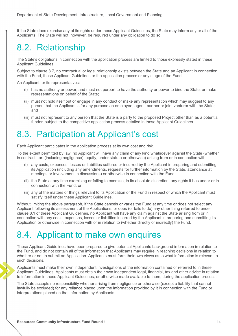If the State does exercise any of its rights under these Applicant Guidelines, the State may inform any or all of the Applicants. The State will not, however, be required under any obligation to do so.

## 8.2. Relationship

The State's obligations in connection with the application process are limited to those expressly stated in these Applicant Guidelines.

Subject to clause 8.7, no contractual or legal relationship exists between the State and an Applicant in connection with the Fund, these Applicant Guidelines or the application process or any stage of the Fund.

An Applicant, or its representatives:

- (i) has no authority or power, and must not purport to have the authority or power to bind the State, or make representations on behalf of the State;
- (ii) must not hold itself out or engage in any conduct or make any representation which may suggest to any person that the Applicant is for any purpose an employee, agent, partner or joint venturer with the State; and
- (iii) must not represent to any person that the State is a party to the proposed Project other than as a potential funder, subject to the competitive application process detailed in these Applicant Guidelines.

### 8.3. Participation at Applicant's cost

Each Applicant participates in the application process at its own cost and risk.

To the extent permitted by law, no Applicant will have any claim of any kind whatsoever against the State (whether in contract, tort (including negligence), equity, under statute or otherwise) arising from or in connection with:

- (i) any costs, expenses, losses or liabilities suffered or incurred by the Applicant in preparing and submitting its Application (including any amendments, requests for further information by the State, attendance at meetings or involvement in discussions) or otherwise in connection with the Fund;
- (ii) the State at any time exercising or failing to exercise, in its absolute discretion, any rights it has under or in connection with the Fund; or
- (iii) any of the matters or things relevant to its Application or the Fund in respect of which the Applicant must satisfy itself under these Applicant Guidelines.

Without limiting the above paragraph, if the State cancels or varies the Fund at any time or does not select any Applicant following its assessment of the Applications, or does (or fails to do) any other thing referred to under clause 8.1 of these Applicant Guidelines, no Applicant will have any claim against the State arising from or in connection with any costs, expenses, losses or liabilities incurred by the Applicant in preparing and submitting its Application or otherwise in connection with or in relation to (whether directly or indirectly) the Fund.

### 8.4. Applicant to make own enquires

These Applicant Guidelines have been prepared to give potential Applicants background information in relation to the Fund, and do not contain all of the information that Applicants may require in reaching decisions in relation to whether or not to submit an Application. Applicants must form their own views as to what information is relevant to such decisions.

Applicants must make their own independent investigations of the information contained or referred to in these Applicant Guidelines. Applicants must obtain their own independent legal, financial, tax and other advice in relation to information in these Applicant Guidelines, or otherwise made available to them, during the application process.

The State accepts no responsibility whether arising from negligence or otherwise (except a liability that cannot lawfully be excluded) for any reliance placed upon the information provided by it in connection with the Fund or interpretations placed on that information by Applicants.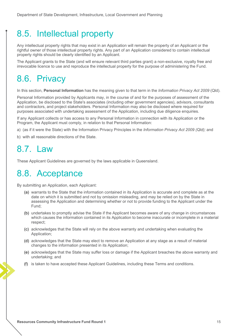### 8.5. Intellectual property

Any intellectual property rights that may exist in an Application will remain the property of an Applicant or the rightful owner of those intellectual property rights. Any part of an Application considered to contain intellectual property rights should be clearly identified by an Applicant.

The Applicant grants to the State (and will ensure relevant third parties grant) a non-exclusive, royalty free and irrevocable licence to use and reproduce the intellectual property for the purpose of administering the Fund.

### 8.6. Privacy

In this section, **Personal Information** has the meaning given to that term in the *Information Privacy Act 2009* (Qld).

Personal Information provided by Applicants may, in the course of and for the purposes of assessment of the Application, be disclosed to the State's associates (including other government agencies), advisors, consultants and contractors, and project stakeholders. Personal Information may also be disclosed where required for purposes associated with undertaking assessment of the Application, including due diligence enquiries.

If any Applicant collects or has access to any Personal Information in connection with its Application or the Program, the Applicant must comply, in relation to that Personal Information:

- a) (as if it were the State) with the Information Privacy Principles in the *Information Privacy Act 2009 (Qld);* and
- b) with all reasonable directions of the State.

### 8.7. Law

These Applicant Guidelines are governed by the laws applicable in Queensland.

### 8.8. Acceptance

By submitting an Application, each Applicant:

- (a) warrants to the State that the information contained in its Application is accurate and complete as at the date on which it is submitted and not by omission misleading, and may be relied on by the State in assessing the Application and determining whether or not to provide funding to the Applicant under the Fund;
- (b) undertakes to promptly advise the State if the Applicant becomes aware of any change in circumstances which causes the information contained in its Application to become inaccurate or incomplete in a material respect;
- (c) acknowledges that the State will rely on the above warranty and undertaking when evaluating the Application;
- (d) acknowledges that the State may elect to remove an Application at any stage as a result of material changes to the information presented in its Application;
- (e) acknowledges that the State may suffer loss or damage if the Applicant breaches the above warranty and undertaking; and
- (f) is taken to have accepted these Applicant Guidelines, including these Terms and conditions.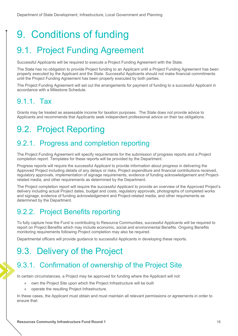# 9. Conditions of funding

## 9.1. Project Funding Agreement

Successful Applicants will be required to execute a Project Funding Agreement with the State.

The State has no obligation to provide Project funding to an Applicant until a Project Funding Agreement has been properly executed by the Applicant and the State. Successful Applicants should not make financial commitments until the Project Funding Agreement has been properly executed by both parties.

The Project Funding Agreement will set out the arrangements for payment of funding to a successful Applicant in accordance with a Milestone Schedule.

#### 9.1.1. Tax

Grants may be treated as assessable income for taxation purposes. The State does not provide advice to Applicants and recommends that Applicants seek independent professional advice on their tax obligations.

## 9.2. Project Reporting

#### 9.2.1. Progress and completion reporting

The Project Funding Agreement will specify requirements for the submission of progress reports and a Project completion report. Templates for these reports will be provided by the Department.

Progress reports will require the successful Applicant to provide information about progress in delivering the Approved Project including details of any delays or risks, Project expenditure and financial contributions received, regulatory approvals, implementation of signage requirements, evidence of funding acknowledgement and Projectrelated media, and other requirements as determined by the Department.

The Project completion report will require the successful Applicant to provide an overview of the Approved Project's delivery including actual Project dates, budget and costs, regulatory approvals, photographs of completed works and signage, evidence of funding acknowledgement and Project-related media, and other requirements as determined by the Department.

### 9.2.2. Project Benefits reporting

To fully capture how the Fund is contributing to Resource Communities, successful Applicants will be required to report on Project Benefits which may include economic, social and environmental Benefits. Ongoing Benefits monitoring requirements following Project completion may also be required.

Departmental officers will provide guidance to successful Applicants in developing these reports.

## 9.3. Delivery of the Project

#### 9.3.1. Confirmation of ownership of the Project Site

In certain circumstances, a Project may be approved for funding where the Applicant will not:

- » own the Project Site upon which the Project Infrastructure will be built
- » operate the resulting Project Infrastructure.

In these cases, the Applicant must obtain and must maintain all relevant permissions or agreements in order to ensure that: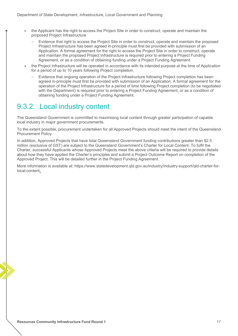- » the Applicant has the right to access the Project Site in order to construct, operate and maintain the proposed Project Infrastructure
	- Evidence that right to access the Project Site in order to construct, operate and maintain the proposed Project Infrastructure has been agreed in-principle must first be provided with submission of an Application. A formal agreement for the right to access the Project Site in order to construct, operate and maintain the proposed Project Infrastructure is required prior to entering a Project Funding Agreement, or as a condition of obtaining funding under a Project Funding Agreement.
- » the Project Infrastructure will be operated in accordance with its intended purpose at the time of Application for a period of up to 10 years following Project completion.
	- Evidence that ongoing operation of the Project Infrastructure following Project completion has been agreed in-principle must first be provided with submission of an Application. A formal agreement for the operation of the Project Infrastructure for a period of time following Project completion (to be negotiated with the Department) is required prior to entering a Project Funding Agreement, or as a condition of obtaining funding under a Project Funding Agreement.

#### 9.3.2. Local industry content

The Queensland Government is committed to maximising local content through greater participation of capable local industry in major government procurements.

To the extent possible, procurement undertaken for all Approved Projects should meet the intent of the Queensland Procurement Policy.

In addition, Approved Projects that have total Queensland Government funding contributions greater than \$2.5 million (exclusive of GST) are subject to the Queensland Government's Charter for Local Content. To fulfil the Charter, successful Applicants whose Approved Projects meet the above criteria will be required to provide details about how they have applied the Charter's principles and submit a Project Outcome Report on completion of the Approved Project. This will be detailed further in the Project Funding Agreement.

More information is available at: https://www.statedevelopment.qld.gov.au/industry/industry-support/qld-charter-forlocal-content.